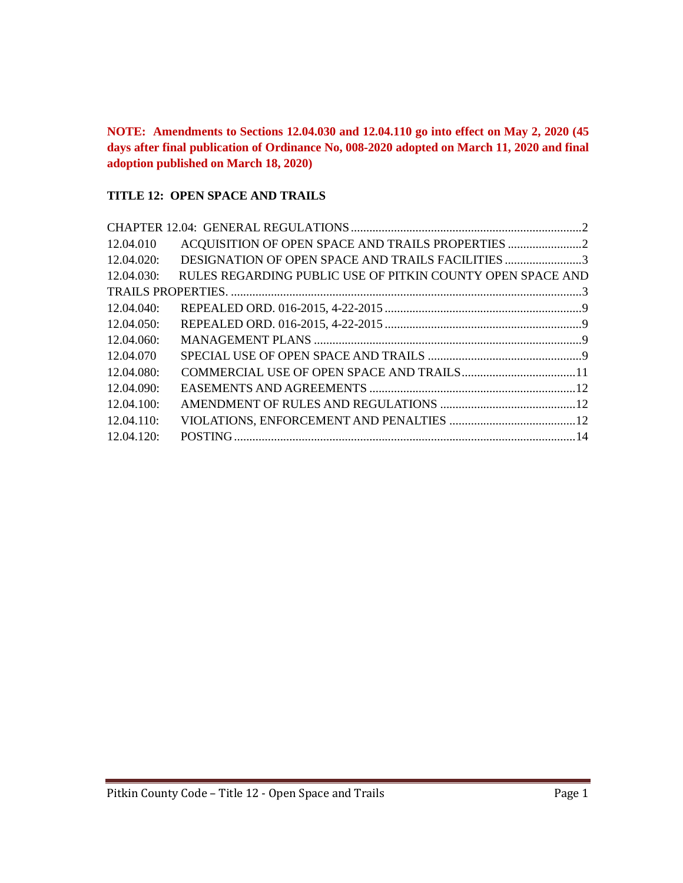**NOTE: Amendments to Sections 12.04.030 and 12.04.110 go into effect on May 2, 2020 (45 days after final publication of Ordinance No, 008-2020 adopted on March 11, 2020 and final adoption published on March 18, 2020)**

#### **TITLE 12: OPEN SPACE AND TRAILS**

| 12.04.010  |                                                            |  |
|------------|------------------------------------------------------------|--|
| 12.04.020: | DESIGNATION OF OPEN SPACE AND TRAILS FACILITIES 3          |  |
| 12.04.030: | RULES REGARDING PUBLIC USE OF PITKIN COUNTY OPEN SPACE AND |  |
|            |                                                            |  |
| 12.04.040: |                                                            |  |
| 12.04.050: |                                                            |  |
| 12.04.060: |                                                            |  |
| 12.04.070  |                                                            |  |
| 12.04.080: |                                                            |  |
| 12.04.090: |                                                            |  |
| 12.04.100: |                                                            |  |
| 12.04.110: |                                                            |  |
| 12.04.120: |                                                            |  |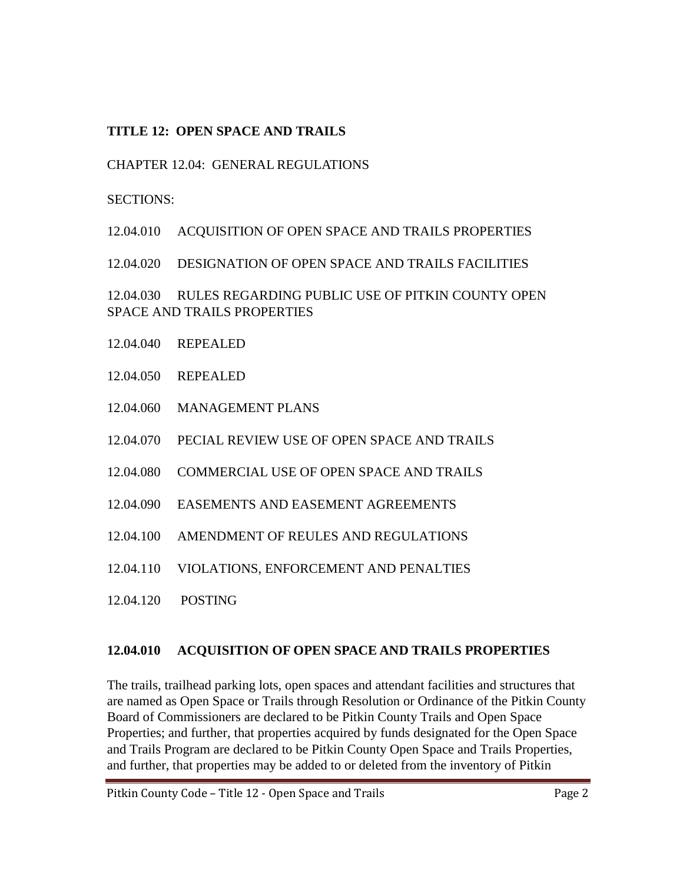## **TITLE 12: OPEN SPACE AND TRAILS**

## <span id="page-1-0"></span>CHAPTER 12.04: GENERAL REGULATIONS

#### SECTIONS:

12.04.010 ACQUISITION OF OPEN SPACE AND TRAILS PROPERTIES

12.04.020 DESIGNATION OF OPEN SPACE AND TRAILS FACILITIES

12.04.030 RULES REGARDING PUBLIC USE OF PITKIN COUNTY OPEN SPACE AND TRAILS PROPERTIES

- 12.04.040 REPEALED
- 12.04.050 REPEALED
- 12.04.060 MANAGEMENT PLANS
- 12.04.070 PECIAL REVIEW USE OF OPEN SPACE AND TRAILS
- 12.04.080 COMMERCIAL USE OF OPEN SPACE AND TRAILS
- 12.04.090 EASEMENTS AND EASEMENT AGREEMENTS
- 12.04.100 AMENDMENT OF REULES AND REGULATIONS
- 12.04.110 VIOLATIONS, ENFORCEMENT AND PENALTIES
- 12.04.120 POSTING

## <span id="page-1-1"></span>**12.04.010 ACQUISITION OF OPEN SPACE AND TRAILS PROPERTIES**

The trails, trailhead parking lots, open spaces and attendant facilities and structures that are named as Open Space or Trails through Resolution or Ordinance of the Pitkin County Board of Commissioners are declared to be Pitkin County Trails and Open Space Properties; and further, that properties acquired by funds designated for the Open Space and Trails Program are declared to be Pitkin County Open Space and Trails Properties, and further, that properties may be added to or deleted from the inventory of Pitkin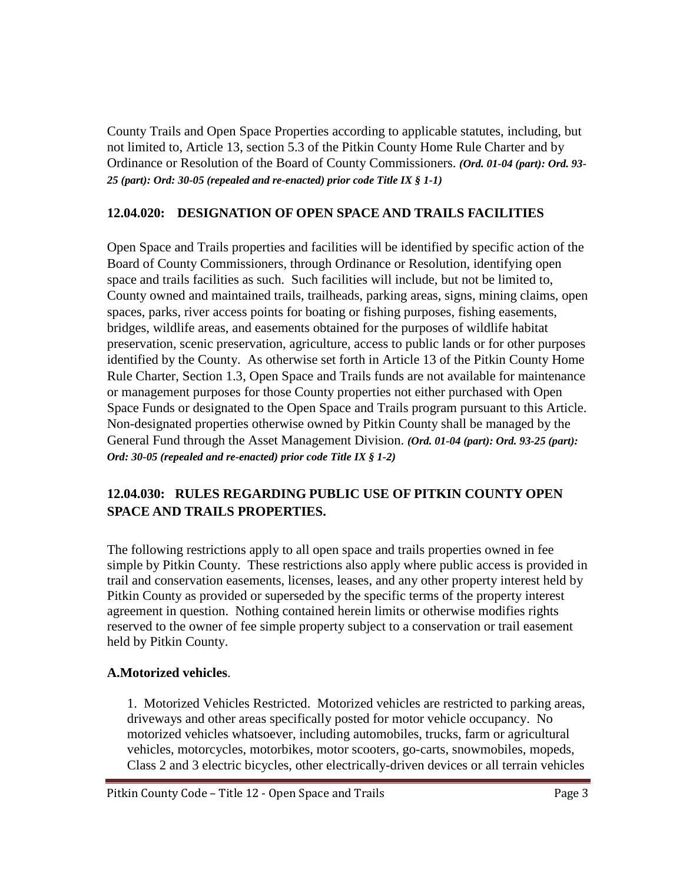County Trails and Open Space Properties according to applicable statutes, including, but not limited to, Article 13, section 5.3 of the Pitkin County Home Rule Charter and by Ordinance or Resolution of the Board of County Commissioners. *(Ord. 01-04 (part): Ord. 93- 25 (part): Ord: 30-05 (repealed and re-enacted) prior code Title IX § 1-1)*

## <span id="page-2-0"></span>**12.04.020: DESIGNATION OF OPEN SPACE AND TRAILS FACILITIES**

Open Space and Trails properties and facilities will be identified by specific action of the Board of County Commissioners, through Ordinance or Resolution, identifying open space and trails facilities as such. Such facilities will include, but not be limited to, County owned and maintained trails, trailheads, parking areas, signs, mining claims, open spaces, parks, river access points for boating or fishing purposes, fishing easements, bridges, wildlife areas, and easements obtained for the purposes of wildlife habitat preservation, scenic preservation, agriculture, access to public lands or for other purposes identified by the County. As otherwise set forth in Article 13 of the Pitkin County Home Rule Charter, Section 1.3, Open Space and Trails funds are not available for maintenance or management purposes for those County properties not either purchased with Open Space Funds or designated to the Open Space and Trails program pursuant to this Article. Non-designated properties otherwise owned by Pitkin County shall be managed by the General Fund through the Asset Management Division. *(Ord. 01-04 (part): Ord. 93-25 (part): Ord: 30-05 (repealed and re-enacted) prior code Title IX § 1-2)*

# <span id="page-2-1"></span>**12.04.030: RULES REGARDING PUBLIC USE OF PITKIN COUNTY OPEN SPACE AND TRAILS PROPERTIES.**

The following restrictions apply to all open space and trails properties owned in fee simple by Pitkin County. These restrictions also apply where public access is provided in trail and conservation easements, licenses, leases, and any other property interest held by Pitkin County as provided or superseded by the specific terms of the property interest agreement in question. Nothing contained herein limits or otherwise modifies rights reserved to the owner of fee simple property subject to a conservation or trail easement held by Pitkin County.

#### **A.Motorized vehicles**.

1. Motorized Vehicles Restricted. Motorized vehicles are restricted to parking areas, driveways and other areas specifically posted for motor vehicle occupancy. No motorized vehicles whatsoever, including automobiles, trucks, farm or agricultural vehicles, motorcycles, motorbikes, motor scooters, go-carts, snowmobiles, mopeds, Class 2 and 3 electric bicycles, other electrically-driven devices or all terrain vehicles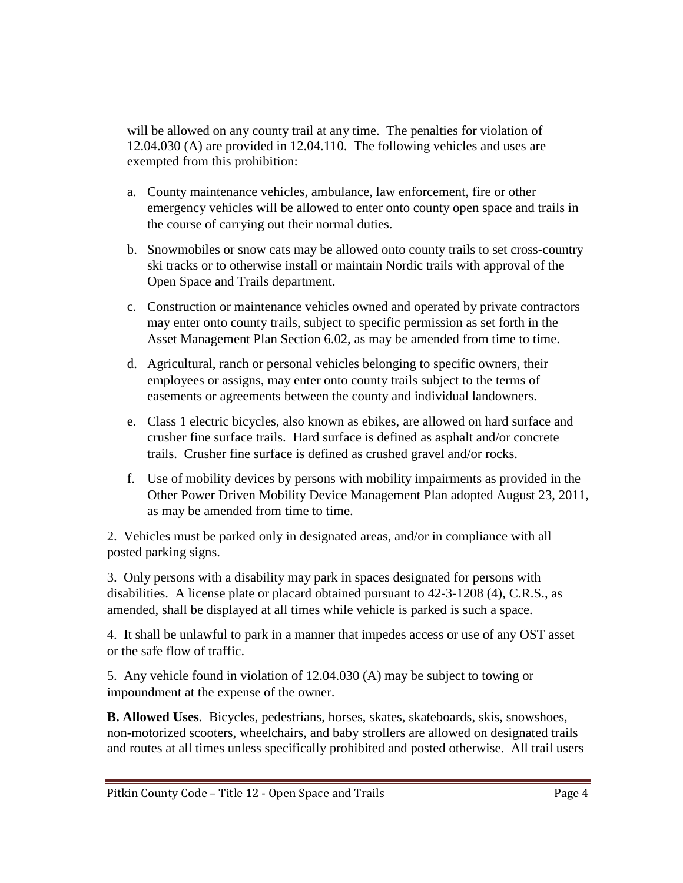will be allowed on any county trail at any time. The penalties for violation of 12.04.030 (A) are provided in 12.04.110. The following vehicles and uses are exempted from this prohibition:

- a. County maintenance vehicles, ambulance, law enforcement, fire or other emergency vehicles will be allowed to enter onto county open space and trails in the course of carrying out their normal duties.
- b. Snowmobiles or snow cats may be allowed onto county trails to set cross-country ski tracks or to otherwise install or maintain Nordic trails with approval of the Open Space and Trails department.
- c. Construction or maintenance vehicles owned and operated by private contractors may enter onto county trails, subject to specific permission as set forth in the Asset Management Plan Section 6.02, as may be amended from time to time.
- d. Agricultural, ranch or personal vehicles belonging to specific owners, their employees or assigns, may enter onto county trails subject to the terms of easements or agreements between the county and individual landowners.
- e. Class 1 electric bicycles, also known as ebikes, are allowed on hard surface and crusher fine surface trails. Hard surface is defined as asphalt and/or concrete trails. Crusher fine surface is defined as crushed gravel and/or rocks.
- f. Use of mobility devices by persons with mobility impairments as provided in the Other Power Driven Mobility Device Management Plan adopted August 23, 2011, as may be amended from time to time.

2. Vehicles must be parked only in designated areas, and/or in compliance with all posted parking signs.

3. Only persons with a disability may park in spaces designated for persons with disabilities. A license plate or placard obtained pursuant to 42-3-1208 (4), C.R.S., as amended, shall be displayed at all times while vehicle is parked is such a space.

4. It shall be unlawful to park in a manner that impedes access or use of any OST asset or the safe flow of traffic.

5. Any vehicle found in violation of 12.04.030 (A) may be subject to towing or impoundment at the expense of the owner.

**B. Allowed Uses**. Bicycles, pedestrians, horses, skates, skateboards, skis, snowshoes, non-motorized scooters, wheelchairs, and baby strollers are allowed on designated trails and routes at all times unless specifically prohibited and posted otherwise. All trail users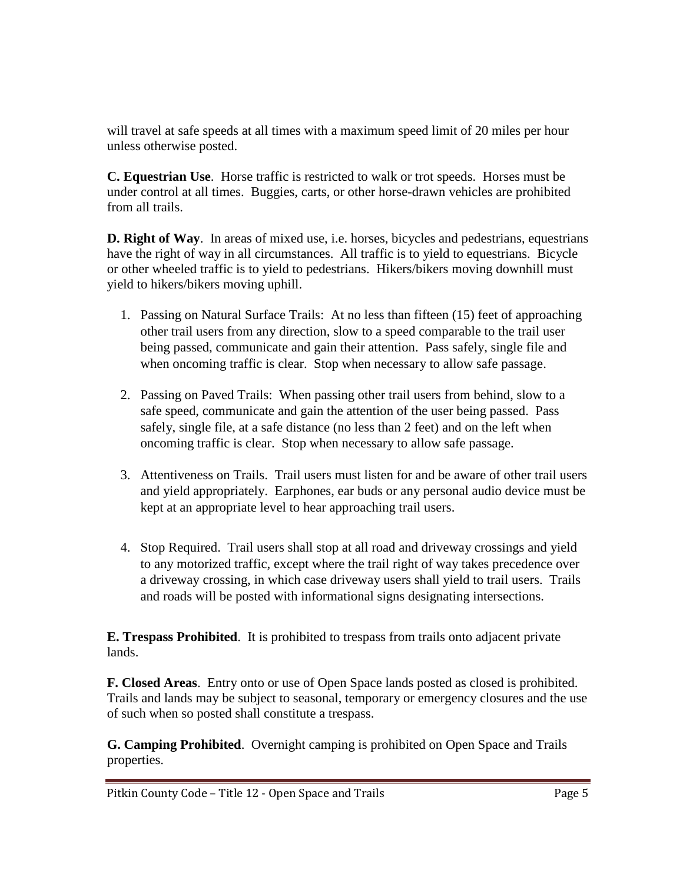will travel at safe speeds at all times with a maximum speed limit of 20 miles per hour unless otherwise posted.

**C. Equestrian Use**. Horse traffic is restricted to walk or trot speeds. Horses must be under control at all times. Buggies, carts, or other horse-drawn vehicles are prohibited from all trails.

**D. Right of Way**. In areas of mixed use, i.e. horses, bicycles and pedestrians, equestrians have the right of way in all circumstances. All traffic is to yield to equestrians. Bicycle or other wheeled traffic is to yield to pedestrians. Hikers/bikers moving downhill must yield to hikers/bikers moving uphill.

- 1. Passing on Natural Surface Trails: At no less than fifteen (15) feet of approaching other trail users from any direction, slow to a speed comparable to the trail user being passed, communicate and gain their attention. Pass safely, single file and when oncoming traffic is clear. Stop when necessary to allow safe passage.
- 2. Passing on Paved Trails: When passing other trail users from behind, slow to a safe speed, communicate and gain the attention of the user being passed. Pass safely, single file, at a safe distance (no less than 2 feet) and on the left when oncoming traffic is clear. Stop when necessary to allow safe passage.
- 3. Attentiveness on Trails. Trail users must listen for and be aware of other trail users and yield appropriately. Earphones, ear buds or any personal audio device must be kept at an appropriate level to hear approaching trail users.
- 4. Stop Required. Trail users shall stop at all road and driveway crossings and yield to any motorized traffic, except where the trail right of way takes precedence over a driveway crossing, in which case driveway users shall yield to trail users. Trails and roads will be posted with informational signs designating intersections.

**E. Trespass Prohibited**. It is prohibited to trespass from trails onto adjacent private lands.

**F. Closed Areas**. Entry onto or use of Open Space lands posted as closed is prohibited. Trails and lands may be subject to seasonal, temporary or emergency closures and the use of such when so posted shall constitute a trespass.

**G. Camping Prohibited**. Overnight camping is prohibited on Open Space and Trails properties.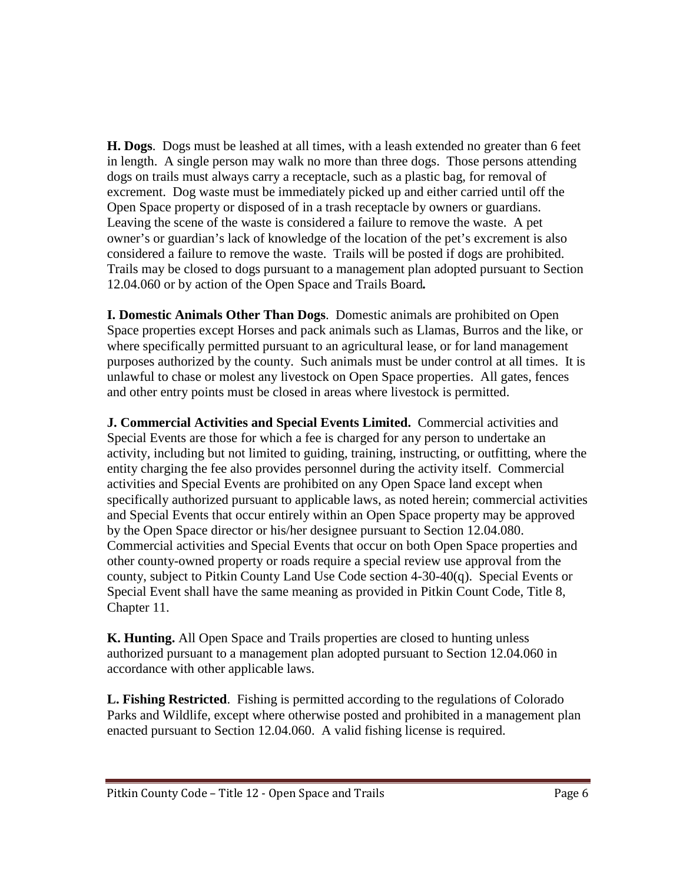**H. Dogs**. Dogs must be leashed at all times, with a leash extended no greater than 6 feet in length. A single person may walk no more than three dogs. Those persons attending dogs on trails must always carry a receptacle, such as a plastic bag, for removal of excrement. Dog waste must be immediately picked up and either carried until off the Open Space property or disposed of in a trash receptacle by owners or guardians. Leaving the scene of the waste is considered a failure to remove the waste. A pet owner's or guardian's lack of knowledge of the location of the pet's excrement is also considered a failure to remove the waste. Trails will be posted if dogs are prohibited. Trails may be closed to dogs pursuant to a management plan adopted pursuant to Section 12.04.060 or by action of the Open Space and Trails Board*.*

**I. Domestic Animals Other Than Dogs**. Domestic animals are prohibited on Open Space properties except Horses and pack animals such as Llamas, Burros and the like, or where specifically permitted pursuant to an agricultural lease, or for land management purposes authorized by the county. Such animals must be under control at all times. It is unlawful to chase or molest any livestock on Open Space properties. All gates, fences and other entry points must be closed in areas where livestock is permitted.

**J. Commercial Activities and Special Events Limited.** Commercial activities and Special Events are those for which a fee is charged for any person to undertake an activity, including but not limited to guiding, training, instructing, or outfitting, where the entity charging the fee also provides personnel during the activity itself. Commercial activities and Special Events are prohibited on any Open Space land except when specifically authorized pursuant to applicable laws, as noted herein; commercial activities and Special Events that occur entirely within an Open Space property may be approved by the Open Space director or his/her designee pursuant to Section 12.04.080. Commercial activities and Special Events that occur on both Open Space properties and other county-owned property or roads require a special review use approval from the county, subject to Pitkin County Land Use Code section 4-30-40(q). Special Events or Special Event shall have the same meaning as provided in Pitkin Count Code, Title 8, Chapter 11.

**K. Hunting.** All Open Space and Trails properties are closed to hunting unless authorized pursuant to a management plan adopted pursuant to Section 12.04.060 in accordance with other applicable laws.

**L. Fishing Restricted**. Fishing is permitted according to the regulations of Colorado Parks and Wildlife, except where otherwise posted and prohibited in a management plan enacted pursuant to Section 12.04.060. A valid fishing license is required.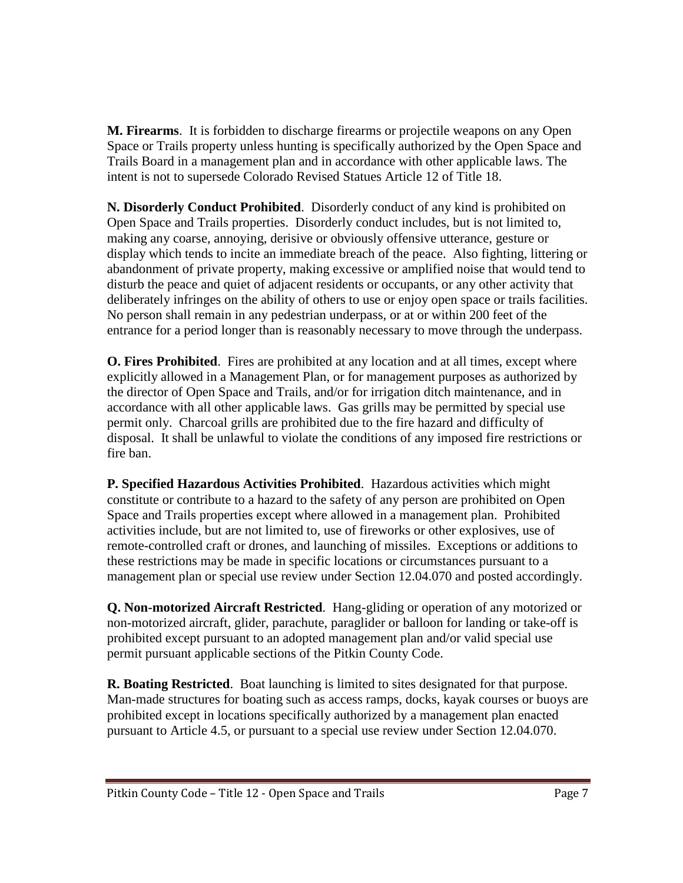**M. Firearms**. It is forbidden to discharge firearms or projectile weapons on any Open Space or Trails property unless hunting is specifically authorized by the Open Space and Trails Board in a management plan and in accordance with other applicable laws. The intent is not to supersede Colorado Revised Statues Article 12 of Title 18.

**N. Disorderly Conduct Prohibited**. Disorderly conduct of any kind is prohibited on Open Space and Trails properties. Disorderly conduct includes, but is not limited to, making any coarse, annoying, derisive or obviously offensive utterance, gesture or display which tends to incite an immediate breach of the peace. Also fighting, littering or abandonment of private property, making excessive or amplified noise that would tend to disturb the peace and quiet of adjacent residents or occupants, or any other activity that deliberately infringes on the ability of others to use or enjoy open space or trails facilities. No person shall remain in any pedestrian underpass, or at or within 200 feet of the entrance for a period longer than is reasonably necessary to move through the underpass.

**O. Fires Prohibited**. Fires are prohibited at any location and at all times, except where explicitly allowed in a Management Plan, or for management purposes as authorized by the director of Open Space and Trails, and/or for irrigation ditch maintenance, and in accordance with all other applicable laws. Gas grills may be permitted by special use permit only. Charcoal grills are prohibited due to the fire hazard and difficulty of disposal. It shall be unlawful to violate the conditions of any imposed fire restrictions or fire ban.

**P. Specified Hazardous Activities Prohibited**. Hazardous activities which might constitute or contribute to a hazard to the safety of any person are prohibited on Open Space and Trails properties except where allowed in a management plan. Prohibited activities include, but are not limited to, use of fireworks or other explosives, use of remote-controlled craft or drones, and launching of missiles. Exceptions or additions to these restrictions may be made in specific locations or circumstances pursuant to a management plan or special use review under Section 12.04.070 and posted accordingly.

**Q. Non-motorized Aircraft Restricted**. Hang-gliding or operation of any motorized or non-motorized aircraft, glider, parachute, paraglider or balloon for landing or take-off is prohibited except pursuant to an adopted management plan and/or valid special use permit pursuant applicable sections of the Pitkin County Code.

**R. Boating Restricted**. Boat launching is limited to sites designated for that purpose. Man-made structures for boating such as access ramps, docks, kayak courses or buoys are prohibited except in locations specifically authorized by a management plan enacted pursuant to Article 4.5, or pursuant to a special use review under Section 12.04.070.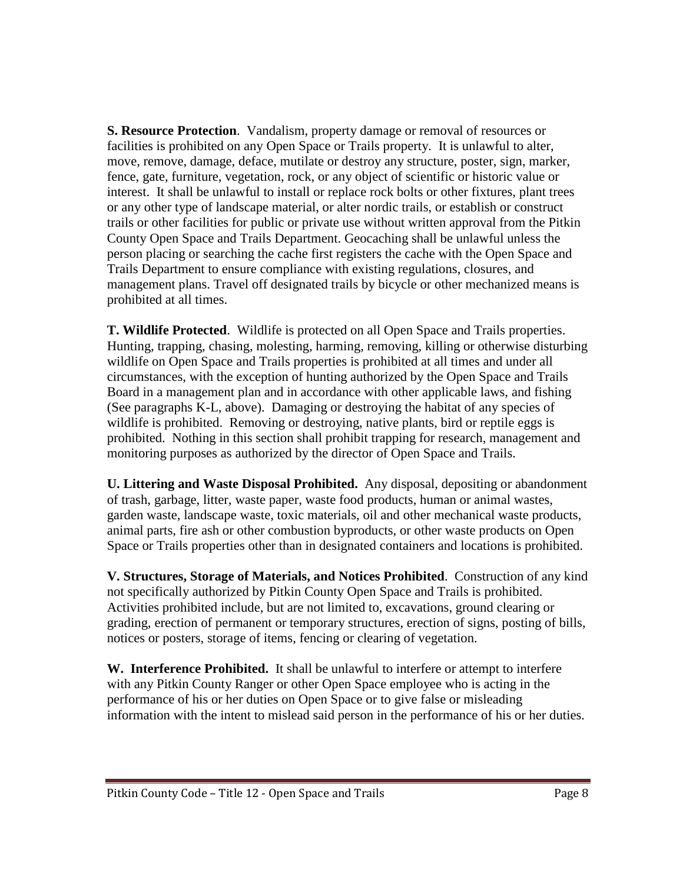**S. Resource Protection**. Vandalism, property damage or removal of resources or facilities is prohibited on any Open Space or Trails property. It is unlawful to alter, move, remove, damage, deface, mutilate or destroy any structure, poster, sign, marker, fence, gate, furniture, vegetation, rock, or any object of scientific or historic value or interest. It shall be unlawful to install or replace rock bolts or other fixtures, plant trees or any other type of landscape material, or alter nordic trails, or establish or construct trails or other facilities for public or private use without written approval from the Pitkin County Open Space and Trails Department. Geocaching shall be unlawful unless the person placing or searching the cache first registers the cache with the Open Space and Trails Department to ensure compliance with existing regulations, closures, and management plans. Travel off designated trails by bicycle or other mechanized means is prohibited at all times.

**T. Wildlife Protected**. Wildlife is protected on all Open Space and Trails properties. Hunting, trapping, chasing, molesting, harming, removing, killing or otherwise disturbing wildlife on Open Space and Trails properties is prohibited at all times and under all circumstances, with the exception of hunting authorized by the Open Space and Trails Board in a management plan and in accordance with other applicable laws, and fishing (See paragraphs K-L, above). Damaging or destroying the habitat of any species of wildlife is prohibited. Removing or destroying, native plants, bird or reptile eggs is prohibited. Nothing in this section shall prohibit trapping for research, management and monitoring purposes as authorized by the director of Open Space and Trails.

**U. Littering and Waste Disposal Prohibited.** Any disposal, depositing or abandonment of trash, garbage, litter, waste paper, waste food products, human or animal wastes, garden waste, landscape waste, toxic materials, oil and other mechanical waste products, animal parts, fire ash or other combustion byproducts, or other waste products on Open Space or Trails properties other than in designated containers and locations is prohibited.

**V. Structures, Storage of Materials, and Notices Prohibited**. Construction of any kind not specifically authorized by Pitkin County Open Space and Trails is prohibited. Activities prohibited include, but are not limited to, excavations, ground clearing or grading, erection of permanent or temporary structures, erection of signs, posting of bills, notices or posters, storage of items, fencing or clearing of vegetation.

**W. Interference Prohibited.** It shall be unlawful to interfere or attempt to interfere with any Pitkin County Ranger or other Open Space employee who is acting in the performance of his or her duties on Open Space or to give false or misleading information with the intent to mislead said person in the performance of his or her duties.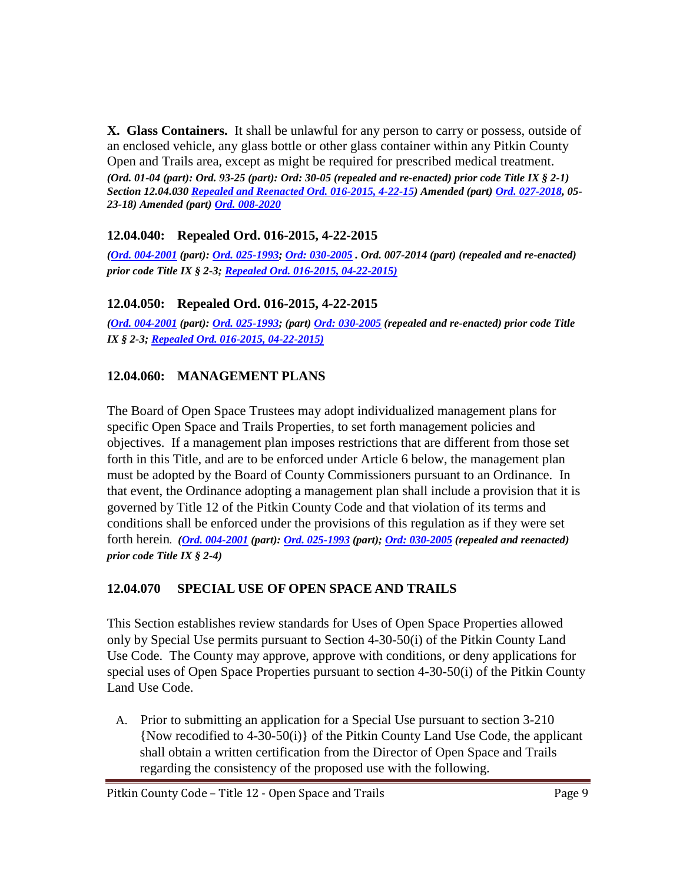**X. Glass Containers.** It shall be unlawful for any person to carry or possess, outside of an enclosed vehicle, any glass bottle or other glass container within any Pitkin County Open and Trails area, except as might be required for prescribed medical treatment. *(Ord. 01-04 (part): Ord. 93-25 (part): Ord: 30-05 (repealed and re-enacted) prior code Title IX § 2-1) Section 12.04.03[0 Repealed and Reenacted Ord. 016-2015, 4-22-15\)](http://records.pitkincounty.com/WebLink8/0/doc/211491/Page1.aspx) Amended (part) [Ord. 027-2018,](https://pitkincounty.com/DocumentCenter/View/16909/Ord-027-2018) 05- 23-18) Amended (part) [Ord. 008-2020](https://pitkincounty.com/DocumentCenter/View/25621/Ord008-2020)*

# <span id="page-8-0"></span>**12.04.040: Repealed Ord. 016-2015, 4-22-2015**

*[\(Ord. 004-2001](http://records.pitkincounty.com/WebLink8/0/doc/10439/Page1.aspx) (part): [Ord. 025-1993;](http://records.pitkincounty.com/WebLink8/0/doc/181129/Page1.aspx) [Ord: 030-2005](http://records.pitkincounty.com/WebLink8/0/doc/69335/Page1.aspx) . Ord. 007-2014 (part) (repealed and re-enacted) prior code Title IX § 2-3[; Repealed Ord. 016-2015, 04-22-2015\)](http://records.pitkincounty.com/WebLink8/0/doc/211491/Page1.aspx)*

# <span id="page-8-1"></span>**12.04.050: Repealed Ord. 016-2015, 4-22-2015**

*(Ord. [004-2001](http://records.pitkincounty.com/WebLink8/0/doc/10439/Page1.aspx) (part): [Ord. 025-1993;](http://records.pitkincounty.com/WebLink8/0/doc/181129/Page1.aspx) (part[\) Ord: 030-2005](http://records.pitkincounty.com/WebLink8/0/doc/69335/Page1.aspx) (repealed and re-enacted) prior code Title IX § 2-3[; Repealed Ord. 016-2015, 04-22-2015\)](http://records.pitkincounty.com/WebLink8/0/doc/211491/Page1.aspx)*

# <span id="page-8-2"></span>**12.04.060: MANAGEMENT PLANS**

The Board of Open Space Trustees may adopt individualized management plans for specific Open Space and Trails Properties, to set forth management policies and objectives. If a management plan imposes restrictions that are different from those set forth in this Title, and are to be enforced under Article 6 below, the management plan must be adopted by the Board of County Commissioners pursuant to an Ordinance. In that event, the Ordinance adopting a management plan shall include a provision that it is governed by Title 12 of the Pitkin County Code and that violation of its terms and conditions shall be enforced under the provisions of this regulation as if they were set forth herein*. [\(Ord. 004-2001](http://records.pitkincounty.com/WebLink8/0/doc/10439/Page1.aspx) (part): [Ord. 025-1993](http://records.pitkincounty.com/WebLink8/0/doc/181129/Page1.aspx) (part); [Ord: 030-2005](http://records.pitkincounty.com/WebLink8/0/doc/69335/Page1.aspx) (repealed and reenacted) prior code Title IX § 2-4)*

# <span id="page-8-3"></span>**12.04.070 SPECIAL USE OF OPEN SPACE AND TRAILS**

This Section establishes review standards for Uses of Open Space Properties allowed only by Special Use permits pursuant to Section 4-30-50(i) of the Pitkin County Land Use Code. The County may approve, approve with conditions, or deny applications for special uses of Open Space Properties pursuant to section 4-30-50(i) of the Pitkin County Land Use Code.

A. Prior to submitting an application for a Special Use pursuant to section 3-210 {Now recodified to 4-30-50(i)} of the Pitkin County Land Use Code, the applicant shall obtain a written certification from the Director of Open Space and Trails regarding the consistency of the proposed use with the following.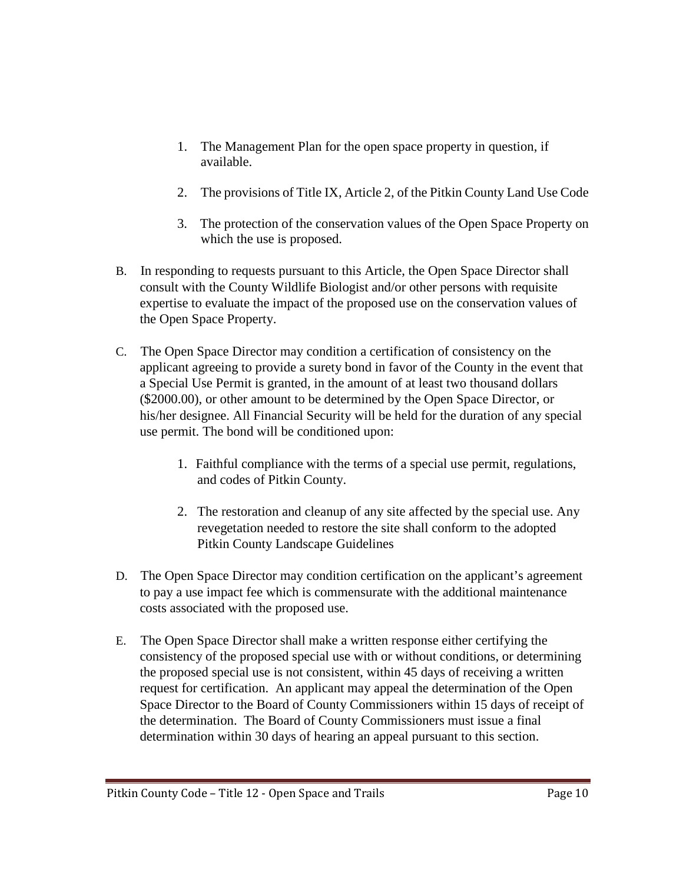- 1. The Management Plan for the open space property in question, if available.
- 2. The provisions of Title IX, Article 2, of the Pitkin County Land Use Code
- 3. The protection of the conservation values of the Open Space Property on which the use is proposed.
- B. In responding to requests pursuant to this Article, the Open Space Director shall consult with the County Wildlife Biologist and/or other persons with requisite expertise to evaluate the impact of the proposed use on the conservation values of the Open Space Property.
- C. The Open Space Director may condition a certification of consistency on the applicant agreeing to provide a surety bond in favor of the County in the event that a Special Use Permit is granted, in the amount of at least two thousand dollars (\$2000.00), or other amount to be determined by the Open Space Director, or his/her designee. All Financial Security will be held for the duration of any special use permit. The bond will be conditioned upon:
	- 1. Faithful compliance with the terms of a special use permit, regulations, and codes of Pitkin County.
	- 2. The restoration and cleanup of any site affected by the special use. Any revegetation needed to restore the site shall conform to the adopted Pitkin County Landscape Guidelines
- D. The Open Space Director may condition certification on the applicant's agreement to pay a use impact fee which is commensurate with the additional maintenance costs associated with the proposed use.
- E. The Open Space Director shall make a written response either certifying the consistency of the proposed special use with or without conditions, or determining the proposed special use is not consistent, within 45 days of receiving a written request for certification. An applicant may appeal the determination of the Open Space Director to the Board of County Commissioners within 15 days of receipt of the determination. The Board of County Commissioners must issue a final determination within 30 days of hearing an appeal pursuant to this section.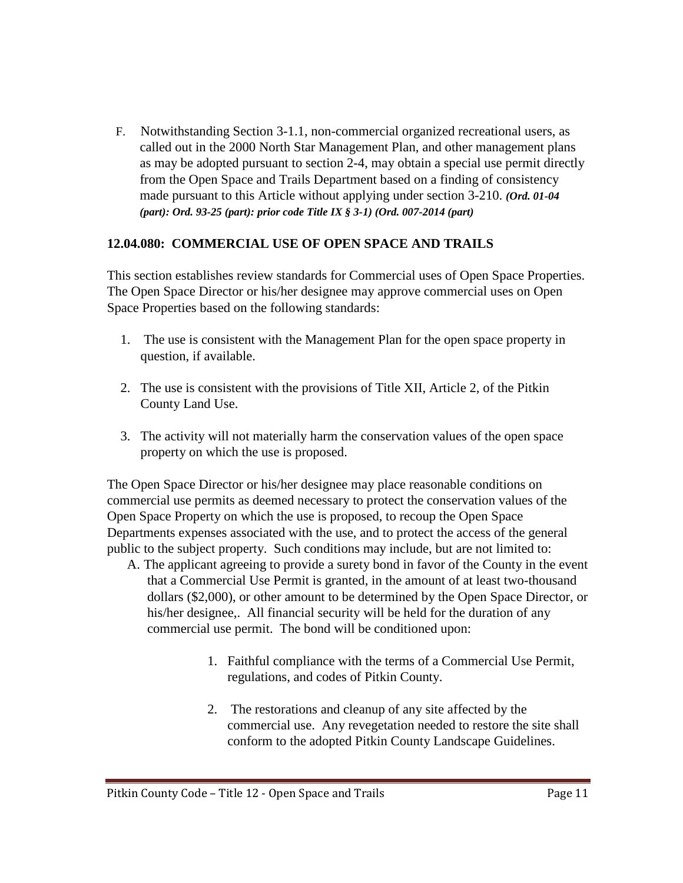F. Notwithstanding Section 3-1.1, non-commercial organized recreational users, as called out in the 2000 North Star Management Plan, and other management plans as may be adopted pursuant to section 2-4, may obtain a special use permit directly from the Open Space and Trails Department based on a finding of consistency made pursuant to this Article without applying under section 3-210. *(Ord. 01-04 (part): Ord. 93-25 (part): prior code Title IX § 3-1) (Ord. 007-2014 (part)*

#### <span id="page-10-0"></span>**12.04.080: COMMERCIAL USE OF OPEN SPACE AND TRAILS**

This section establishes review standards for Commercial uses of Open Space Properties. The Open Space Director or his/her designee may approve commercial uses on Open Space Properties based on the following standards:

- 1. The use is consistent with the Management Plan for the open space property in question, if available.
- 2. The use is consistent with the provisions of Title XII, Article 2, of the Pitkin County Land Use.
- 3. The activity will not materially harm the conservation values of the open space property on which the use is proposed.

The Open Space Director or his/her designee may place reasonable conditions on commercial use permits as deemed necessary to protect the conservation values of the Open Space Property on which the use is proposed, to recoup the Open Space Departments expenses associated with the use, and to protect the access of the general public to the subject property. Such conditions may include, but are not limited to:

- A. The applicant agreeing to provide a surety bond in favor of the County in the event that a Commercial Use Permit is granted, in the amount of at least two-thousand dollars (\$2,000), or other amount to be determined by the Open Space Director, or his/her designee,. All financial security will be held for the duration of any commercial use permit. The bond will be conditioned upon:
	- 1. Faithful compliance with the terms of a Commercial Use Permit, regulations, and codes of Pitkin County.
	- 2. The restorations and cleanup of any site affected by the commercial use. Any revegetation needed to restore the site shall conform to the adopted Pitkin County Landscape Guidelines.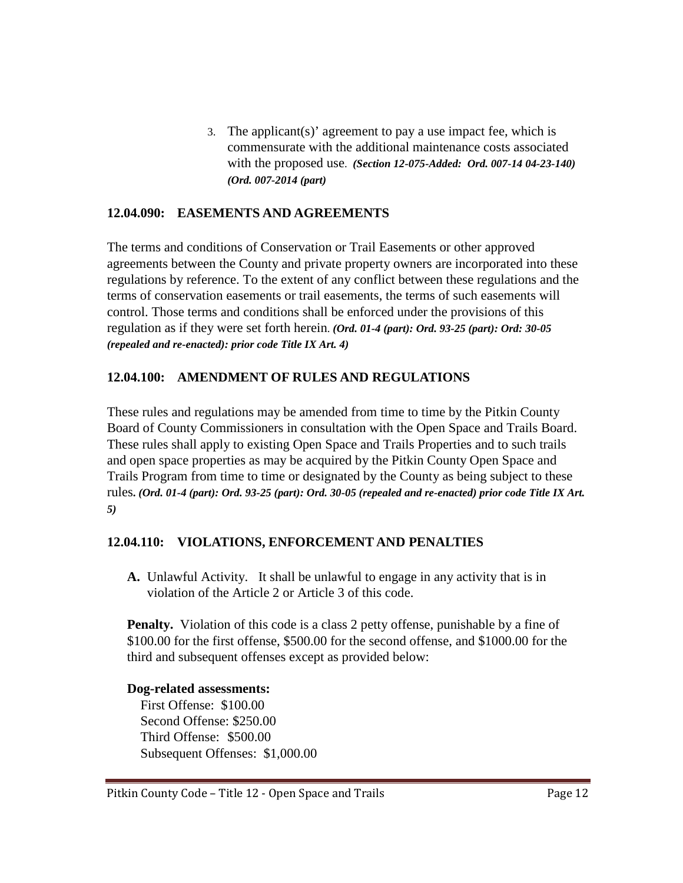3. The applicant(s)' agreement to pay a use impact fee, which is commensurate with the additional maintenance costs associated with the proposed use. *(Section 12-075-Added: Ord. 007-14 04-23-140) (Ord. 007-2014 (part)*

#### <span id="page-11-0"></span>**12.04.090: EASEMENTS AND AGREEMENTS**

The terms and conditions of Conservation or Trail Easements or other approved agreements between the County and private property owners are incorporated into these regulations by reference. To the extent of any conflict between these regulations and the terms of conservation easements or trail easements, the terms of such easements will control. Those terms and conditions shall be enforced under the provisions of this regulation as if they were set forth herein. *(Ord. 01-4 (part): Ord. 93-25 (part): Ord: 30-05 (repealed and re-enacted): prior code Title IX Art. 4)*

## <span id="page-11-1"></span>**12.04.100: AMENDMENT OF RULES AND REGULATIONS**

These rules and regulations may be amended from time to time by the Pitkin County Board of County Commissioners in consultation with the Open Space and Trails Board. These rules shall apply to existing Open Space and Trails Properties and to such trails and open space properties as may be acquired by the Pitkin County Open Space and Trails Program from time to time or designated by the County as being subject to these rules**.** *(Ord. 01-4 (part): Ord. 93-25 (part): Ord. 30-05 (repealed and re-enacted) prior code Title IX Art. 5)*

#### <span id="page-11-2"></span>**12.04.110: VIOLATIONS, ENFORCEMENT AND PENALTIES**

**A.** Unlawful Activity. It shall be unlawful to engage in any activity that is in violation of the Article 2 or Article 3 of this code.

**Penalty.** Violation of this code is a class 2 petty offense, punishable by a fine of \$100.00 for the first offense, \$500.00 for the second offense, and \$1000.00 for the third and subsequent offenses except as provided below:

#### **Dog-related assessments:**

First Offense: \$100.00 Second Offense: \$250.00 Third Offense: \$500.00 Subsequent Offenses: \$1,000.00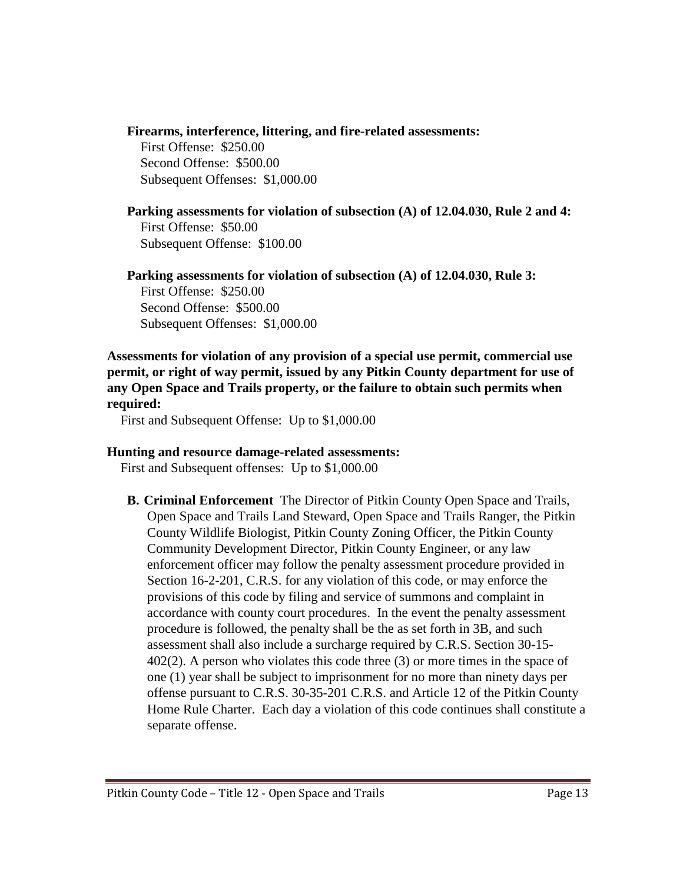#### **Firearms, interference, littering, and fire-related assessments:**

First Offense: \$250.00 Second Offense: \$500.00 Subsequent Offenses: \$1,000.00

#### **Parking assessments for violation of subsection (A) of 12.04.030, Rule 2 and 4:** First Offense: \$50.00 Subsequent Offense: \$100.00

#### **Parking assessments for violation of subsection (A) of 12.04.030, Rule 3:**

First Offense: \$250.00 Second Offense: \$500.00 Subsequent Offenses: \$1,000.00

#### **Assessments for violation of any provision of a special use permit, commercial use permit, or right of way permit, issued by any Pitkin County department for use of any Open Space and Trails property, or the failure to obtain such permits when required:**

First and Subsequent Offense: Up to \$1,000.00

#### **Hunting and resource damage-related assessments:**

First and Subsequent offenses: Up to \$1,000.00

**B. Criminal Enforcement** The Director of Pitkin County Open Space and Trails, Open Space and Trails Land Steward, Open Space and Trails Ranger, the Pitkin County Wildlife Biologist, Pitkin County Zoning Officer, the Pitkin County Community Development Director, Pitkin County Engineer, or any law enforcement officer may follow the penalty assessment procedure provided in Section 16-2-201, C.R.S. for any violation of this code, or may enforce the provisions of this code by filing and service of summons and complaint in accordance with county court procedures. In the event the penalty assessment procedure is followed, the penalty shall be the as set forth in 3B, and such assessment shall also include a surcharge required by C.R.S. Section 30-15- 402(2). A person who violates this code three (3) or more times in the space of one (1) year shall be subject to imprisonment for no more than ninety days per offense pursuant to C.R.S. 30-35-201 C.R.S. and Article 12 of the Pitkin County Home Rule Charter. Each day a violation of this code continues shall constitute a separate offense.